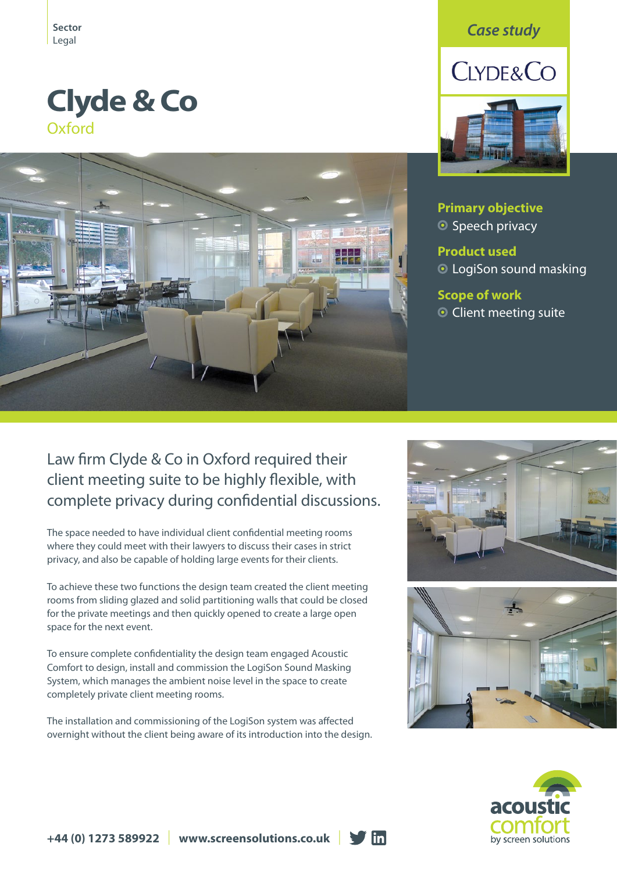# **Clyde & Co Oxford**



## *Case study*



**Primary objective** ● Speech privacy

**Product used** LogiSon sound masking

### **Scope of work O** Client meeting suite

# Law firm Clyde & Co in Oxford required their client meeting suite to be highly flexible, with complete privacy during confidential discussions.

The space needed to have individual client confidential meeting rooms where they could meet with their lawyers to discuss their cases in strict privacy, and also be capable of holding large events for their clients.

To achieve these two functions the design team created the client meeting rooms from sliding glazed and solid partitioning walls that could be closed for the private meetings and then quickly opened to create a large open space for the next event.

To ensure complete confidentiality the design team engaged Acoustic Comfort to design, install and commission the LogiSon Sound Masking System, which manages the ambient noise level in the space to create completely private client meeting rooms.

The installation and commissioning of the LogiSon system was affected overnight without the client being aware of its introduction into the design.